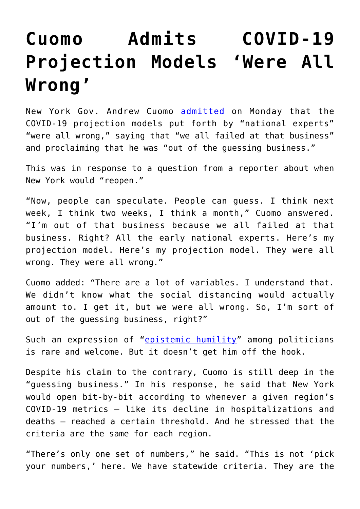## **[Cuomo Admits COVID-19](https://intellectualtakeout.org/2020/05/cuomo-admits-covid-19-projection-models-were-all-wrong/) [Projection Models 'Were All](https://intellectualtakeout.org/2020/05/cuomo-admits-covid-19-projection-models-were-all-wrong/) [Wrong'](https://intellectualtakeout.org/2020/05/cuomo-admits-covid-19-projection-models-were-all-wrong/)**

New York Gov. Andrew Cuomo [admitted](https://www.foxnews.com/politics/cuomo-we-all-failed-coronavirus-projections-new-york) on Monday that the COVID-19 projection models put forth by "national experts" "were all wrong," saying that "we all failed at that business" and proclaiming that he was "out of the guessing business."

This was in response to a question from a reporter about when New York would "reopen."

"Now, people can speculate. People can guess. I think next week, I think two weeks, I think a month," Cuomo answered. "I'm out of that business because we all failed at that business. Right? All the early national experts. Here's my projection model. Here's my projection model. They were all wrong. They were all wrong."

Cuomo added: "There are a lot of variables. I understand that. We didn't know what the social distancing would actually amount to. I get it, but we were all wrong. So, I'm sort of out of the guessing business, right?"

Such an expression of "[epistemic humility"](https://fee.org/articles/3-kinds-of-economic-ignorance/) among politicians is rare and welcome. But it doesn't get him off the hook.

Despite his claim to the contrary, Cuomo is still deep in the "guessing business." In his response, he said that New York would open bit-by-bit according to whenever a given region's COVID-19 metrics – like its decline in hospitalizations and deaths – reached a certain threshold. And he stressed that the criteria are the same for each region.

"There's only one set of numbers," he said. "This is not 'pick your numbers,' here. We have statewide criteria. They are the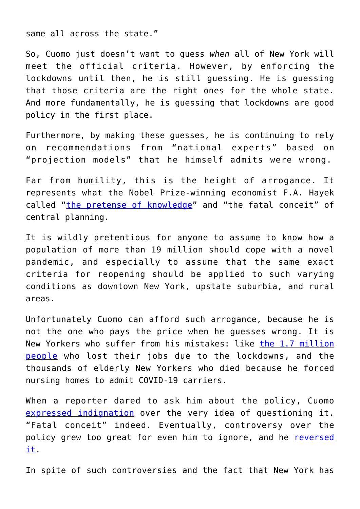same all across the state."

So, Cuomo just doesn't want to guess *when* all of New York will meet the official criteria. However, by enforcing the lockdowns until then, he is still guessing. He is guessing that those criteria are the right ones for the whole state. And more fundamentally, he is guessing that lockdowns are good policy in the first place.

Furthermore, by making these guesses, he is continuing to rely on recommendations from "national experts" based on "projection models" that he himself admits were wrong.

Far from humility, this is the height of arrogance. It represents what the Nobel Prize-winning economist F.A. Hayek called ["the pretense of knowledge](https://fee.org/resources/the-pretense-of-knowledge/)" and "the fatal conceit" of central planning.

It is wildly pretentious for anyone to assume to know how a population of more than 19 million should cope with a novel pandemic, and especially to assume that the same exact criteria for reopening should be applied to such varying conditions as downtown New York, upstate suburbia, and rural areas.

Unfortunately Cuomo can afford such arrogance, because he is not the one who pays the price when he guesses wrong. It is New Yorkers who suffer from his mistakes: like [the 1.7 million](https://labor.ny.gov/stats/pressreleases/pruistat.shtm) [people](https://labor.ny.gov/stats/pressreleases/pruistat.shtm) who lost their jobs due to the lockdowns, and the thousands of elderly New Yorkers who died because he forced nursing homes to admit COVID-19 carriers.

When a reporter dared to ask him about the policy, Cuomo [expressed indignation](https://fee.org/articles/how-states-turned-nursing-homes-into-slaughter-houses-by-forcing-them-to-admit-discharged-covid-19-patients/) over the very idea of questioning it. "Fatal conceit" indeed. Eventually, controversy over the policy grew too great for even him to ignore, and he [reversed](https://fee.org/articles/new-york-admits-to-intentionally-undercounting-nursing-home-deaths-after-changing-reporting-rules-report-says/) [it.](https://fee.org/articles/new-york-admits-to-intentionally-undercounting-nursing-home-deaths-after-changing-reporting-rules-report-says/)

In spite of such controversies and the fact that New York has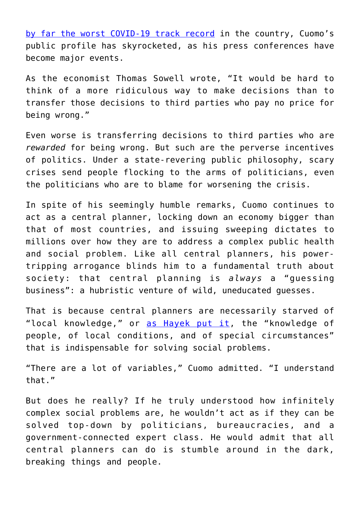[by far the worst COVID-19 track record](https://www.worldometers.info/coronavirus/country/us/) in the country, Cuomo's public profile has skyrocketed, as his press conferences have become major events.

As the economist Thomas Sowell wrote, "It would be hard to think of a more ridiculous way to make decisions than to transfer those decisions to third parties who pay no price for being wrong."

Even worse is transferring decisions to third parties who are *rewarded* for being wrong. But such are the perverse incentives of politics. Under a state-revering public philosophy, scary crises send people flocking to the arms of politicians, even the politicians who are to blame for worsening the crisis.

In spite of his seemingly humble remarks, Cuomo continues to act as a central planner, locking down an economy bigger than that of most countries, and issuing sweeping dictates to millions over how they are to address a complex public health and social problem. Like all central planners, his powertripping arrogance blinds him to a fundamental truth about society: that central planning is *always* a "guessing business": a hubristic venture of wild, uneducated guesses.

That is because central planners are necessarily starved of "local knowledge," or [as Hayek put it](https://fee.org/articles/the-use-of-knowledge-in-society/), the "knowledge of people, of local conditions, and of special circumstances" that is indispensable for solving social problems.

"There are a lot of variables," Cuomo admitted. "I understand that."

But does he really? If he truly understood how infinitely complex social problems are, he wouldn't act as if they can be solved top-down by politicians, bureaucracies, and a government-connected expert class. He would admit that all central planners can do is stumble around in the dark, breaking things and people.